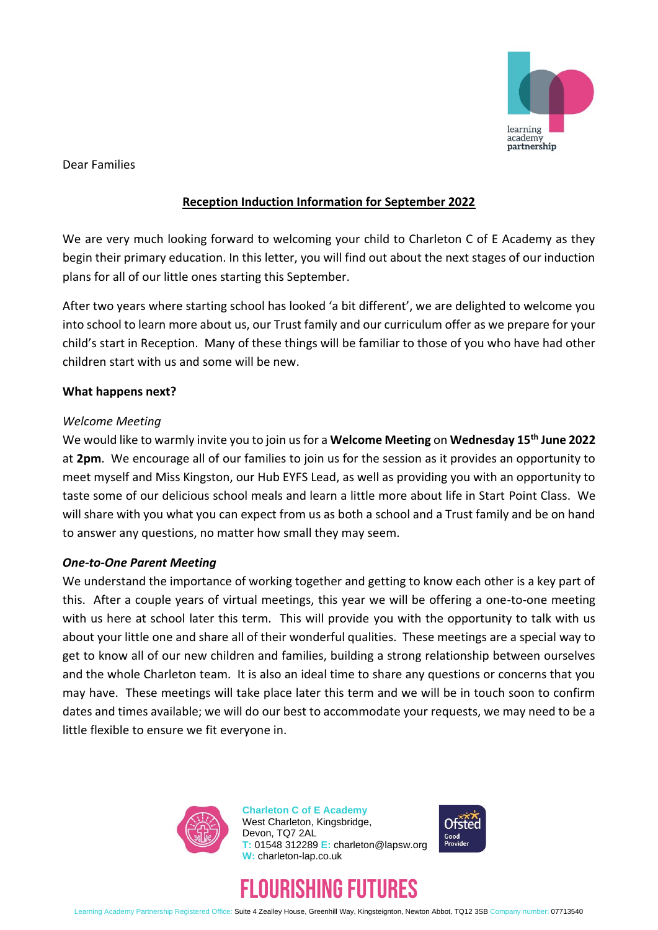

Dear Families

## **Reception Induction Information for September 2022**

We are very much looking forward to welcoming your child to Charleton C of E Academy as they begin their primary education. In this letter, you will find out about the next stages of our induction plans for all of our little ones starting this September.

After two years where starting school has looked 'a bit different', we are delighted to welcome you into school to learn more about us, our Trust family and our curriculum offer as we prepare for your child's start in Reception. Many of these things will be familiar to those of you who have had other children start with us and some will be new.

## **What happens next?**

#### *Welcome Meeting*

We would like to warmly invite you to join us for a **Welcome Meeting** on **Wednesday 15th June 2022**  at **2pm**. We encourage all of our families to join us for the session as it provides an opportunity to meet myself and Miss Kingston, our Hub EYFS Lead, as well as providing you with an opportunity to taste some of our delicious school meals and learn a little more about life in Start Point Class. We will share with you what you can expect from us as both a school and a Trust family and be on hand to answer any questions, no matter how small they may seem.

#### *One-to-One Parent Meeting*

We understand the importance of working together and getting to know each other is a key part of this. After a couple years of virtual meetings, this year we will be offering a one-to-one meeting with us here at school later this term. This will provide you with the opportunity to talk with us about your little one and share all of their wonderful qualities. These meetings are a special way to get to know all of our new children and families, building a strong relationship between ourselves and the whole Charleton team. It is also an ideal time to share any questions or concerns that you may have. These meetings will take place later this term and we will be in touch soon to confirm dates and times available; we will do our best to accommodate your requests, we may need to be a little flexible to ensure we fit everyone in.



**Charleton C of E Academy** West Charleton, Kingsbridge, Devon, TQ7 2AL **T:** 01548 312289 **E:** charleton@lapsw.org **W:** charleton-lap.co.uk





Learning Academy Partnership Registered Office: Suite 4 Zealley House, Greenhill Way, Kingsteignton, Newton Abbot, TQ12 3SB Company number: 07713540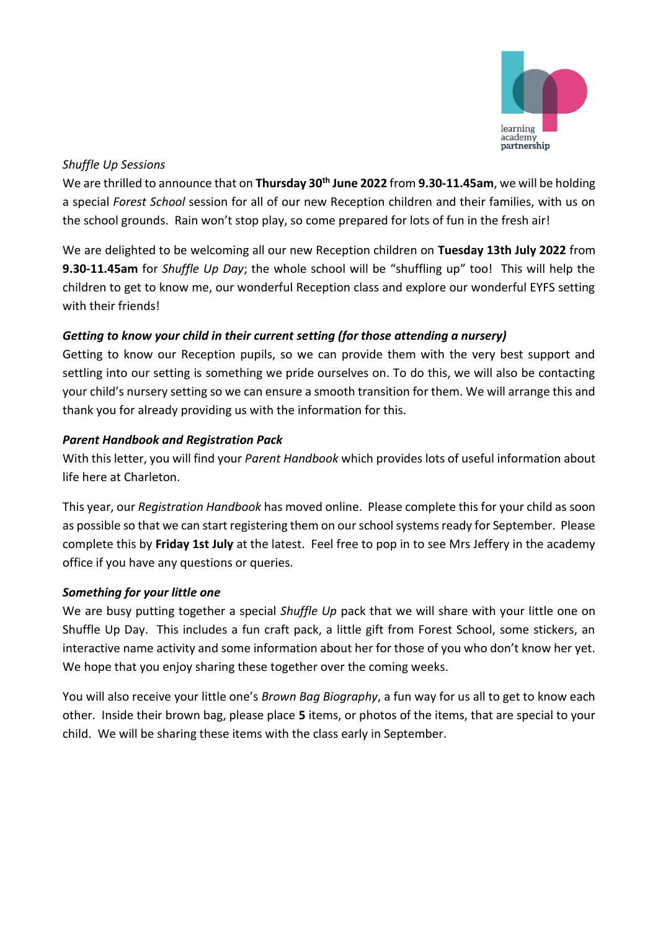

## *Shuffle Up Sessions*

We are thrilled to announce that on **Thursday 30th June 2022** from **9.30-11.45am**, we will be holding a special *Forest School* session for all of our new Reception children and their families, with us on the school grounds. Rain won't stop play, so come prepared for lots of fun in the fresh air!

We are delighted to be welcoming all our new Reception children on **Tuesday 13th July 2022** from **9.30-11.45am** for *Shuffle Up Day*; the whole school will be "shuffling up" too! This will help the children to get to know me, our wonderful Reception class and explore our wonderful EYFS setting with their friends!

# *Getting to know your child in their current setting (for those attending a nursery)*

Getting to know our Reception pupils, so we can provide them with the very best support and settling into our setting is something we pride ourselves on. To do this, we will also be contacting your child's nursery setting so we can ensure a smooth transition for them. We will arrange this and thank you for already providing us with the information for this.

# *Parent Handbook and Registration Pack*

With this letter, you will find your *Parent Handbook* which provides lots of useful information about life here at Charleton.

This year, our *Registration Handbook* has moved online. Please complete this for your child as soon as possible so that we can start registering them on our school systems ready for September. Please complete this by **Friday 1st July** at the latest. Feel free to pop in to see Mrs Jeffery in the academy office if you have any questions or queries.

# *Something for your little one*

We are busy putting together a special *Shuffle Up* pack that we will share with your little one on Shuffle Up Day. This includes a fun craft pack, a little gift from Forest School, some stickers, an interactive name activity and some information about her for those of you who don't know her yet. We hope that you enjoy sharing these together over the coming weeks.

You will also receive your little one's *Brown Bag Biography*, a fun way for us all to get to know each other. Inside their brown bag, please place **5** items, or photos of the items, that are special to your child. We will be sharing these items with the class early in September.